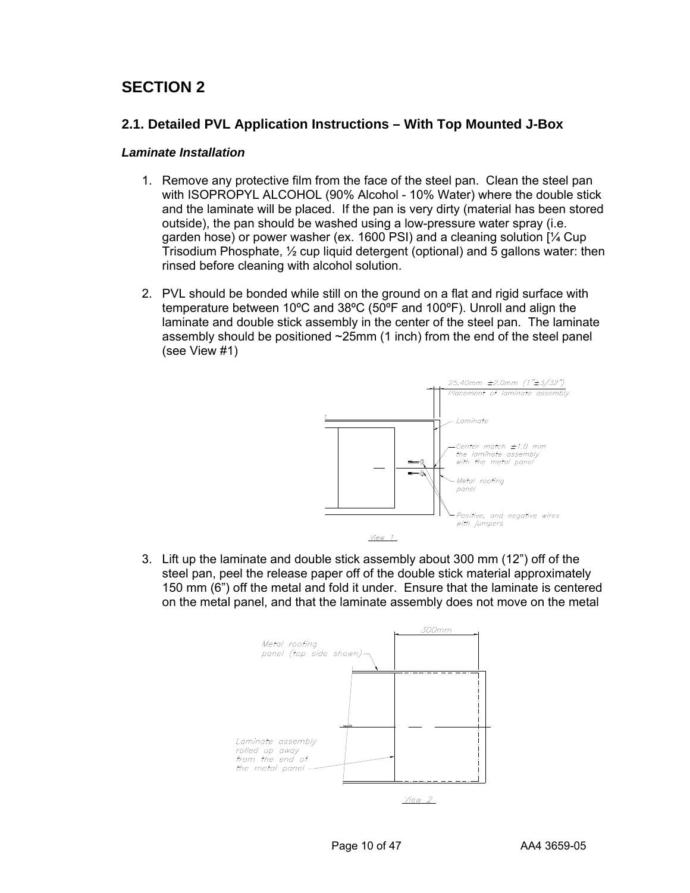# **SECTION 2**

## **2.1. Detailed PVL Application Instructions – With Top Mounted J-Box**

### *Laminate Installation*

- 1. Remove any protective film from the face of the steel pan. Clean the steel pan with ISOPROPYL ALCOHOL (90% Alcohol - 10% Water) where the double stick and the laminate will be placed. If the pan is very dirty (material has been stored outside), the pan should be washed using a low-pressure water spray (i.e. garden hose) or power washer (ex. 1600 PSI) and a cleaning solution [¼ Cup Trisodium Phosphate, ½ cup liquid detergent (optional) and 5 gallons water: then rinsed before cleaning with alcohol solution.
- 2. PVL should be bonded while still on the ground on a flat and rigid surface with temperature between 10ºC and 38ºC (50ºF and 100ºF). Unroll and align the laminate and double stick assembly in the center of the steel pan. The laminate assembly should be positioned ~25mm (1 inch) from the end of the steel panel (see View #1)



3. Lift up the laminate and double stick assembly about 300 mm (12") off of the steel pan, peel the release paper off of the double stick material approximately 150 mm (6") off the metal and fold it under. Ensure that the laminate is centered on the metal panel, and that the laminate assembly does not move on the metal

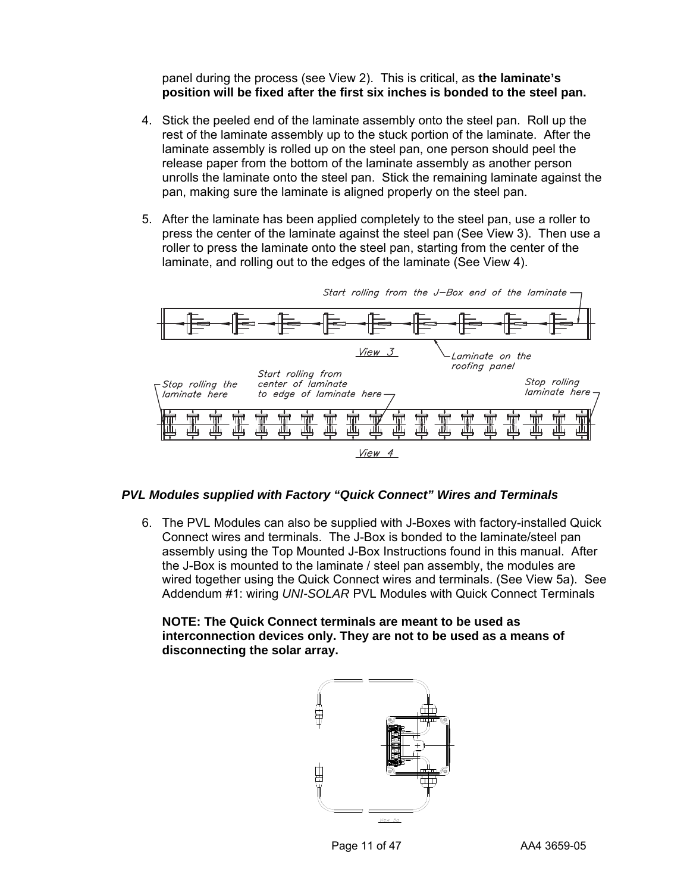panel during the process (see View 2). This is critical, as **the laminate's position will be fixed after the first six inches is bonded to the steel pan.**

- 4. Stick the peeled end of the laminate assembly onto the steel pan. Roll up the rest of the laminate assembly up to the stuck portion of the laminate. After the laminate assembly is rolled up on the steel pan, one person should peel the release paper from the bottom of the laminate assembly as another person unrolls the laminate onto the steel pan. Stick the remaining laminate against the pan, making sure the laminate is aligned properly on the steel pan.
- 5. After the laminate has been applied completely to the steel pan, use a roller to press the center of the laminate against the steel pan (See View 3). Then use a roller to press the laminate onto the steel pan, starting from the center of the laminate, and rolling out to the edges of the laminate (See View 4).



#### *PVL Modules supplied with Factory "Quick Connect" Wires and Terminals*

6. The PVL Modules can also be supplied with J-Boxes with factory-installed Quick Connect wires and terminals. The J-Box is bonded to the laminate/steel pan assembly using the Top Mounted J-Box Instructions found in this manual. After the J-Box is mounted to the laminate / steel pan assembly, the modules are wired together using the Quick Connect wires and terminals. (See View 5a). See Addendum #1: wiring *UNI-SOLAR* PVL Modules with Quick Connect Terminals

**NOTE: The Quick Connect terminals are meant to be used as interconnection devices only. They are not to be used as a means of disconnecting the solar array.** 

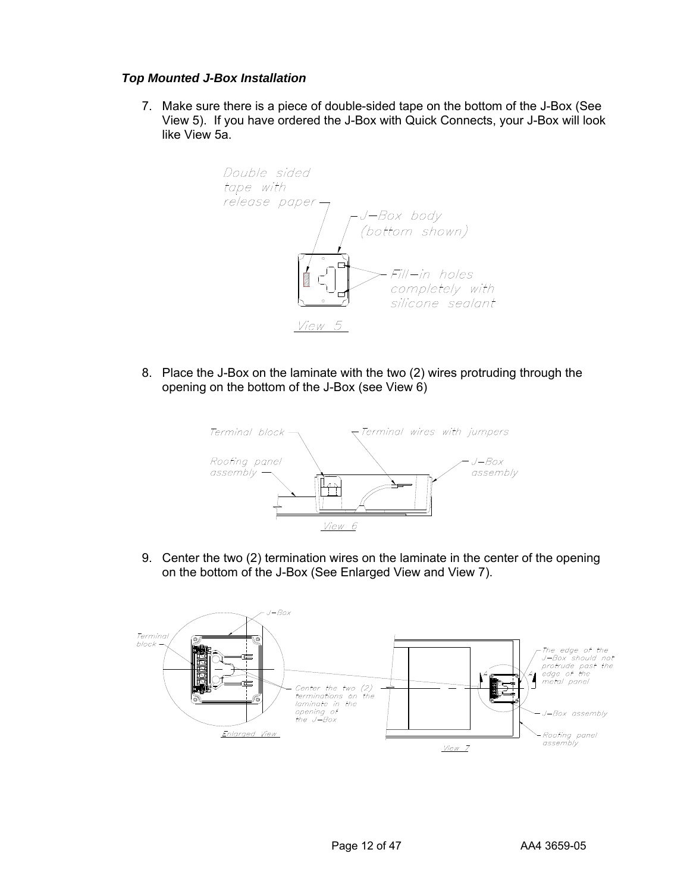### *Top Mounted J-Box Installation*

7. Make sure there is a piece of double-sided tape on the bottom of the J-Box (See View 5). If you have ordered the J-Box with Quick Connects, your J-Box will look like View 5a.



8. Place the J-Box on the laminate with the two (2) wires protruding through the opening on the bottom of the J-Box (see View 6)



9. Center the two (2) termination wires on the laminate in the center of the opening on the bottom of the J-Box (See Enlarged View and View 7).

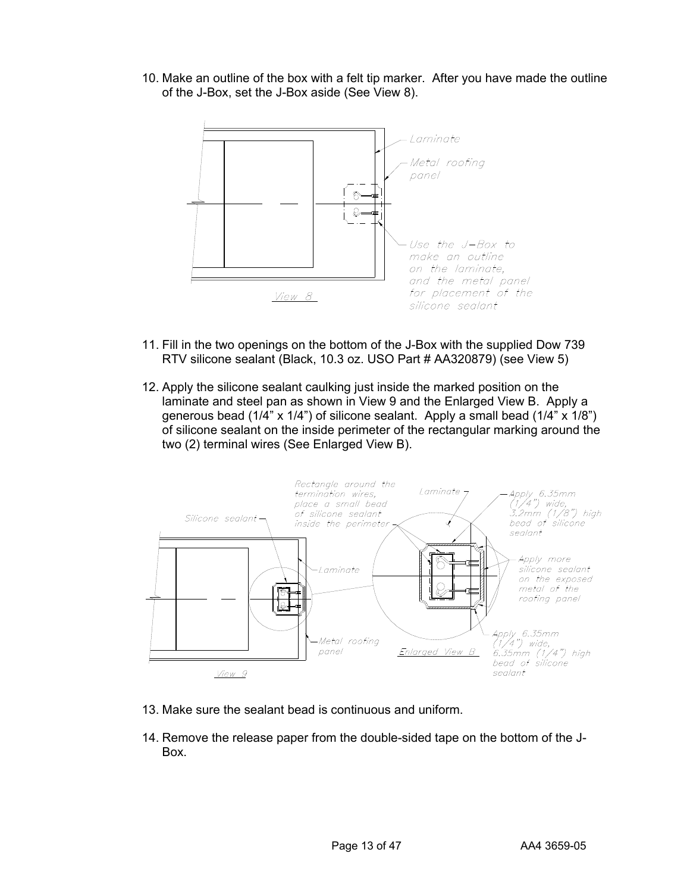10. Make an outline of the box with a felt tip marker. After you have made the outline of the J-Box, set the J-Box aside (See View 8).



- 11. Fill in the two openings on the bottom of the J-Box with the supplied Dow 739 RTV silicone sealant (Black, 10.3 oz. USO Part # AA320879) (see View 5)
- 12. Apply the silicone sealant caulking just inside the marked position on the laminate and steel pan as shown in View 9 and the Enlarged View B. Apply a generous bead (1/4" x 1/4") of silicone sealant. Apply a small bead (1/4" x 1/8") of silicone sealant on the inside perimeter of the rectangular marking around the two (2) terminal wires (See Enlarged View B).



- 13. Make sure the sealant bead is continuous and uniform.
- 14. Remove the release paper from the double-sided tape on the bottom of the J-Box.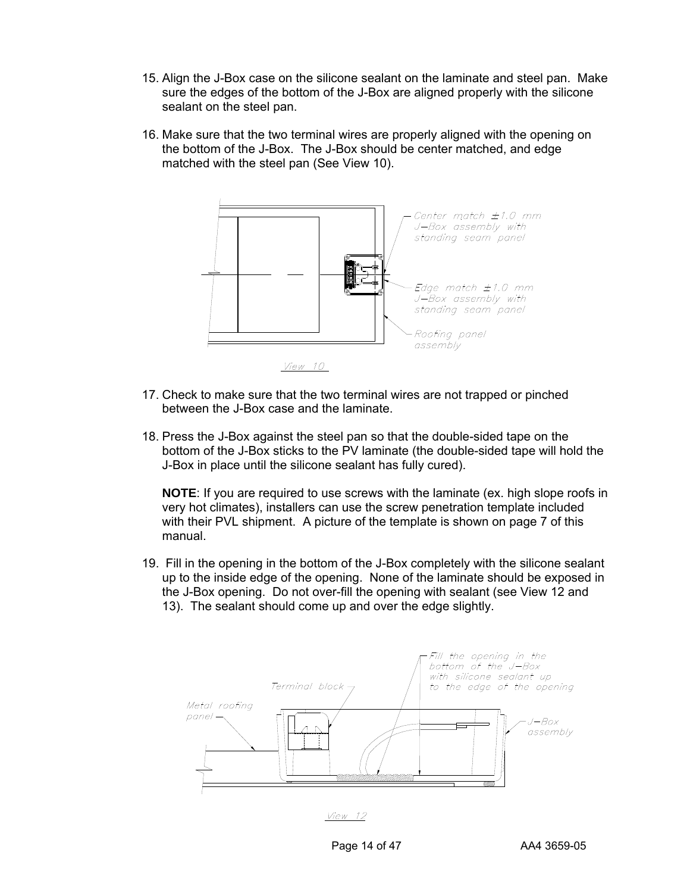- 15. Align the J-Box case on the silicone sealant on the laminate and steel pan. Make sure the edges of the bottom of the J-Box are aligned properly with the silicone sealant on the steel pan.
- 16. Make sure that the two terminal wires are properly aligned with the opening on the bottom of the J-Box. The J-Box should be center matched, and edge matched with the steel pan (See View 10).



*View 10* 

- 17. Check to make sure that the two terminal wires are not trapped or pinched between the J-Box case and the laminate.
- 18. Press the J-Box against the steel pan so that the double-sided tape on the bottom of the J-Box sticks to the PV laminate (the double-sided tape will hold the J-Box in place until the silicone sealant has fully cured).

**NOTE**: If you are required to use screws with the laminate (ex. high slope roofs in very hot climates), installers can use the screw penetration template included with their PVL shipment. A picture of the template is shown on page 7 of this manual.

19. Fill in the opening in the bottom of the J-Box completely with the silicone sealant up to the inside edge of the opening. None of the laminate should be exposed in the J-Box opening. Do not over-fill the opening with sealant (see View 12 and 13). The sealant should come up and over the edge slightly.



 $View$  12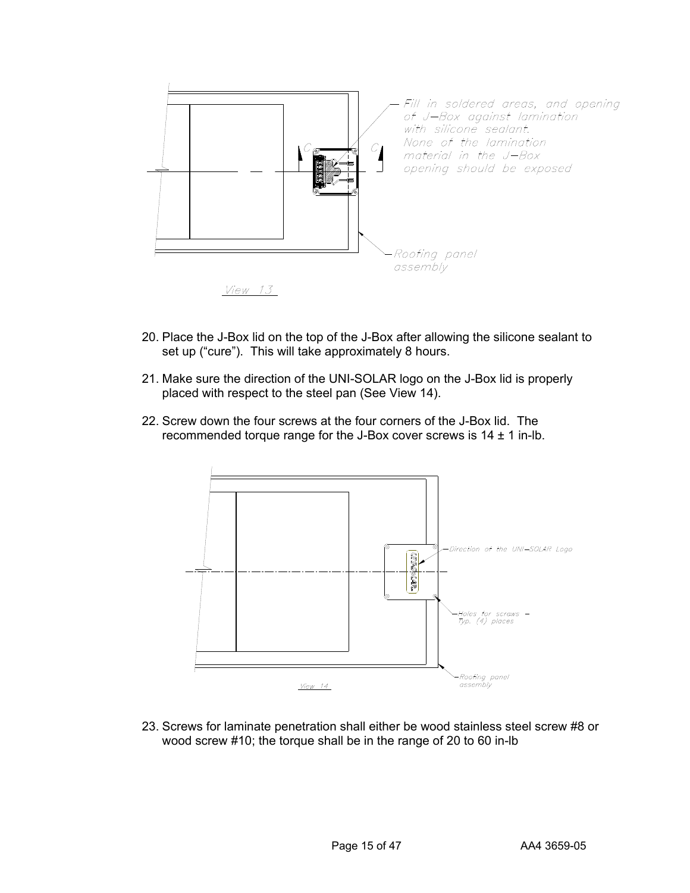

- 20. Place the J-Box lid on the top of the J-Box after allowing the silicone sealant to set up ("cure"). This will take approximately 8 hours.
- 21. Make sure the direction of the UNI-SOLAR logo on the J-Box lid is properly placed with respect to the steel pan (See View 14).
- 22. Screw down the four screws at the four corners of the J-Box lid. The recommended torque range for the J-Box cover screws is  $14 \pm 1$  in-lb.



23. Screws for laminate penetration shall either be wood stainless steel screw #8 or wood screw #10; the torque shall be in the range of 20 to 60 in-lb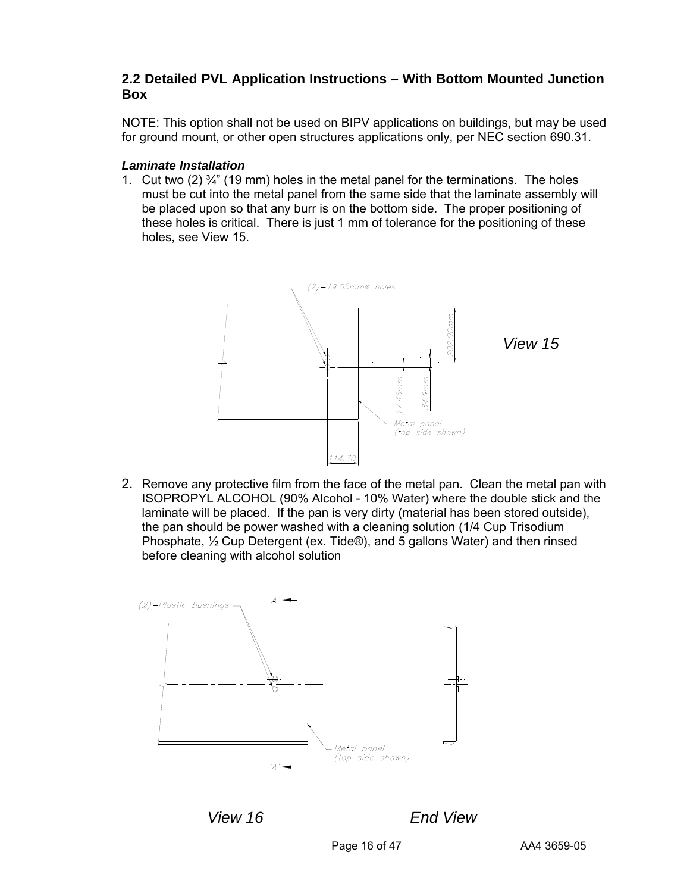# **2.2 Detailed PVL Application Instructions – With Bottom Mounted Junction Box**

NOTE: This option shall not be used on BIPV applications on buildings, but may be used for ground mount, or other open structures applications only, per NEC section 690.31.

### *Laminate Installation*

1. Cut two (2)  $\frac{3}{4}$ " (19 mm) holes in the metal panel for the terminations. The holes must be cut into the metal panel from the same side that the laminate assembly will be placed upon so that any burr is on the bottom side. The proper positioning of these holes is critical. There is just 1 mm of tolerance for the positioning of these holes, see View 15.



2. Remove any protective film from the face of the metal pan. Clean the metal pan with ISOPROPYL ALCOHOL (90% Alcohol - 10% Water) where the double stick and the laminate will be placed. If the pan is very dirty (material has been stored outside), the pan should be power washed with a cleaning solution (1/4 Cup Trisodium Phosphate, ½ Cup Detergent (ex. Tide®), and 5 gallons Water) and then rinsed before cleaning with alcohol solution



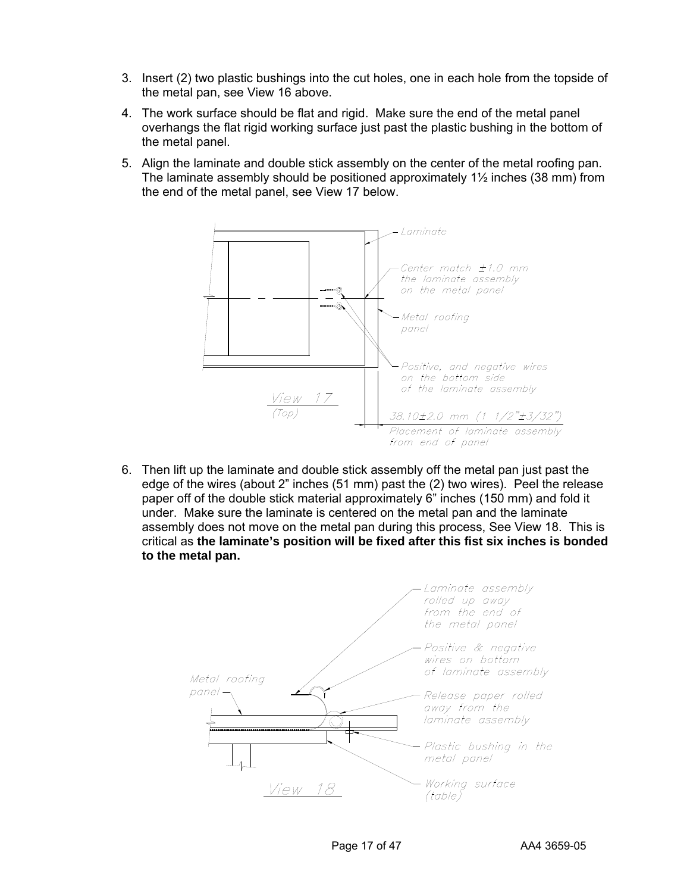- 3. Insert (2) two plastic bushings into the cut holes, one in each hole from the topside of the metal pan, see View 16 above.
- 4. The work surface should be flat and rigid. Make sure the end of the metal panel overhangs the flat rigid working surface just past the plastic bushing in the bottom of the metal panel.
- 5. Align the laminate and double stick assembly on the center of the metal roofing pan. The laminate assembly should be positioned approximately  $1\frac{1}{2}$  inches (38 mm) from the end of the metal panel, see View 17 below.



6. Then lift up the laminate and double stick assembly off the metal pan just past the edge of the wires (about 2" inches (51 mm) past the (2) two wires). Peel the release paper off of the double stick material approximately 6" inches (150 mm) and fold it under. Make sure the laminate is centered on the metal pan and the laminate assembly does not move on the metal pan during this process, See View 18. This is critical as **the laminate's position will be fixed after this fist six inches is bonded to the metal pan.** 

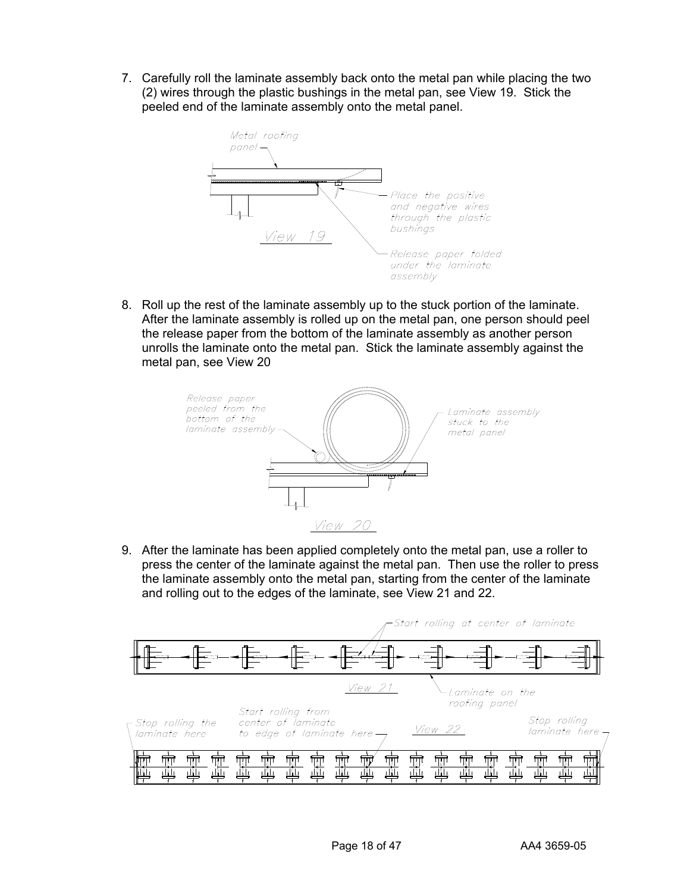7. Carefully roll the laminate assembly back onto the metal pan while placing the two (2) wires through the plastic bushings in the metal pan, see View 19. Stick the peeled end of the laminate assembly onto the metal panel.



8. Roll up the rest of the laminate assembly up to the stuck portion of the laminate. After the laminate assembly is rolled up on the metal pan, one person should peel the release paper from the bottom of the laminate assembly as another person unrolls the laminate onto the metal pan. Stick the laminate assembly against the metal pan, see View 20



9. After the laminate has been applied completely onto the metal pan, use a roller to press the center of the laminate against the metal pan. Then use the roller to press the laminate assembly onto the metal pan, starting from the center of the laminate and rolling out to the edges of the laminate, see View 21 and 22.

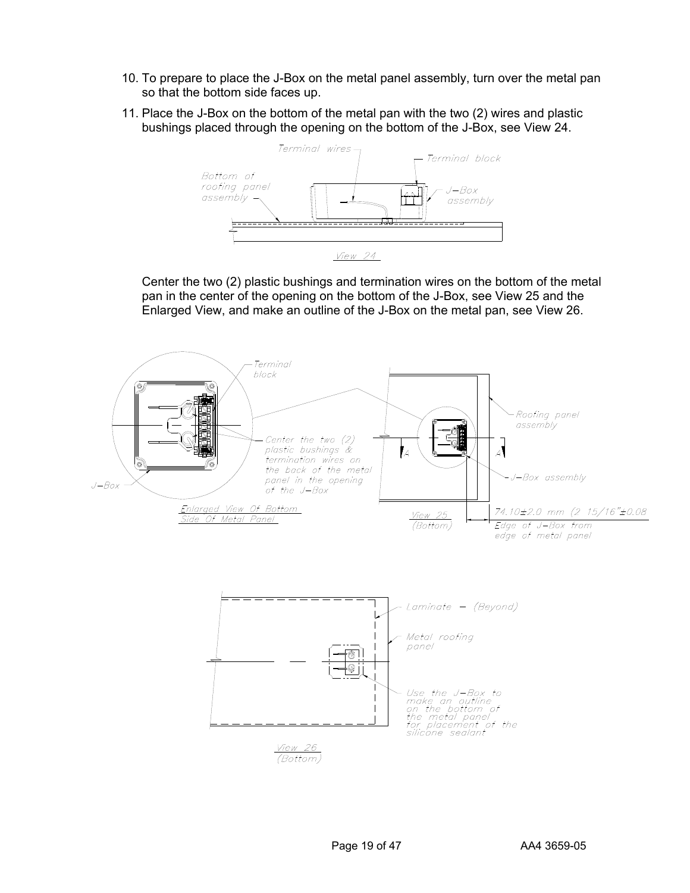- 10. To prepare to place the J-Box on the metal panel assembly, turn over the metal pan so that the bottom side faces up.
- 11. Place the J-Box on the bottom of the metal pan with the two (2) wires and plastic bushings placed through the opening on the bottom of the J-Box, see View 24.



Center the two (2) plastic bushings and termination wires on the bottom of the metal pan in the center of the opening on the bottom of the J-Box, see View 25 and the Enlarged View, and make an outline of the J-Box on the metal pan, see View 26.

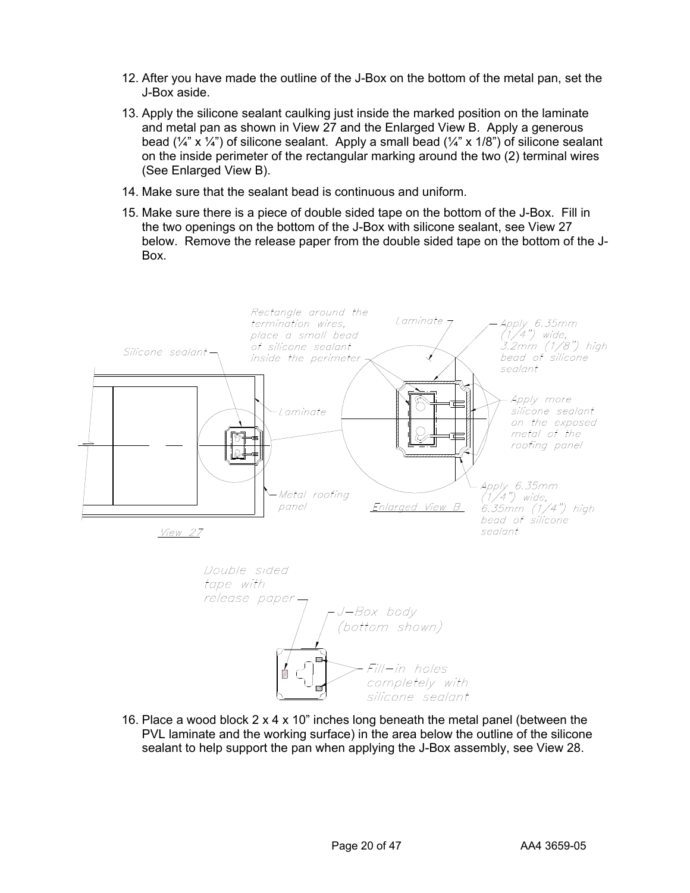- 12. After you have made the outline of the J-Box on the bottom of the metal pan, set the J-Box aside.
- 13. Apply the silicone sealant caulking just inside the marked position on the laminate and metal pan as shown in View 27 and the Enlarged View B. Apply a generous bead  $(\frac{1}{4}^n \times \frac{1}{4}^n)$  of silicone sealant. Apply a small bead  $(\frac{1}{4}^n \times \frac{1}{8}^n)$  of silicone sealant on the inside perimeter of the rectangular marking around the two (2) terminal wires (See Enlarged View B).
- 14. Make sure that the sealant bead is continuous and uniform.
- 15. Make sure there is a piece of double sided tape on the bottom of the J-Box. Fill in the two openings on the bottom of the J-Box with silicone sealant, see View 27 below. Remove the release paper from the double sided tape on the bottom of the J-Box.







16. Place a wood block 2 x 4 x 10" inches long beneath the metal panel (between the PVL laminate and the working surface) in the area below the outline of the silicone sealant to help support the pan when applying the J-Box assembly, see View 28.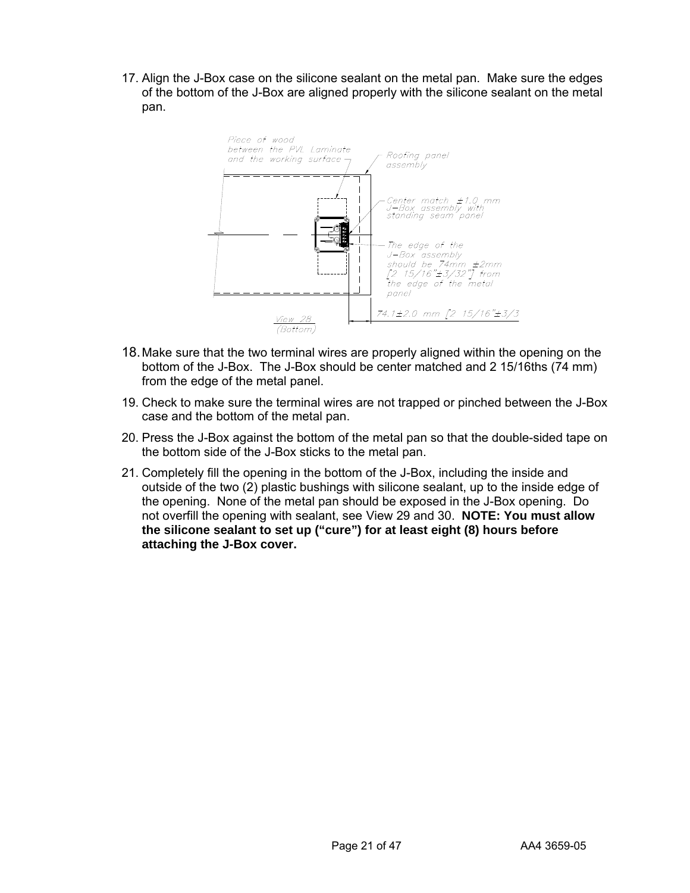17. Align the J-Box case on the silicone sealant on the metal pan. Make sure the edges of the bottom of the J-Box are aligned properly with the silicone sealant on the metal pan.



- 18. Make sure that the two terminal wires are properly aligned within the opening on the bottom of the J-Box. The J-Box should be center matched and 2 15/16ths (74 mm) from the edge of the metal panel.
- 19. Check to make sure the terminal wires are not trapped or pinched between the J-Box case and the bottom of the metal pan.
- 20. Press the J-Box against the bottom of the metal pan so that the double-sided tape on the bottom side of the J-Box sticks to the metal pan.
- 21. Completely fill the opening in the bottom of the J-Box, including the inside and outside of the two (2) plastic bushings with silicone sealant, up to the inside edge of the opening. None of the metal pan should be exposed in the J-Box opening. Do not overfill the opening with sealant, see View 29 and 30. **NOTE: You must allow the silicone sealant to set up ("cure") for at least eight (8) hours before attaching the J-Box cover.**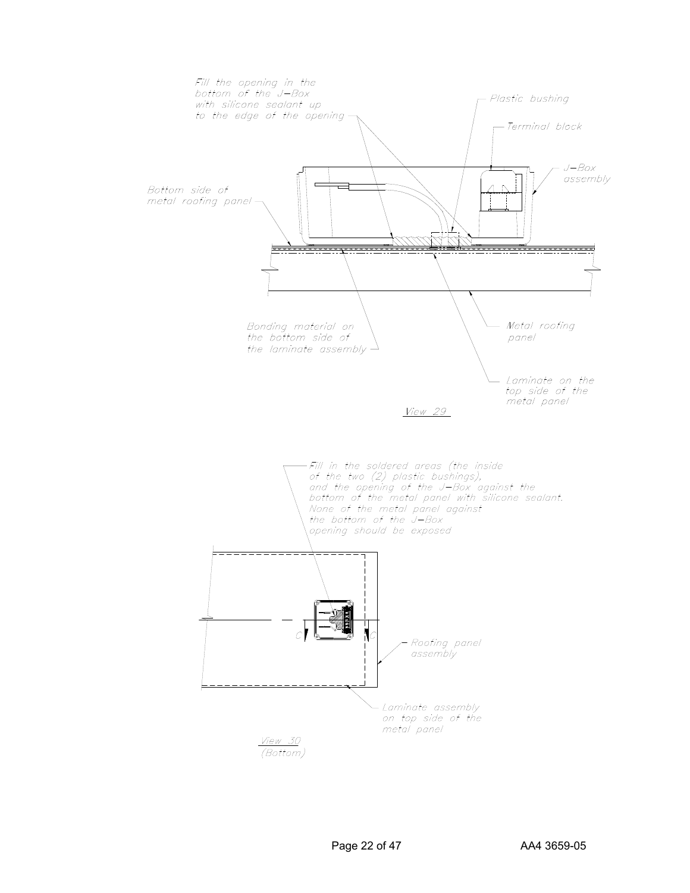